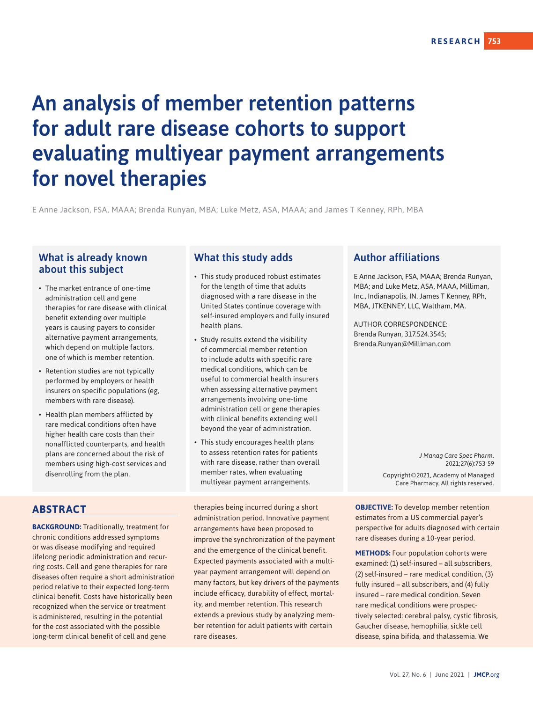# An analysis of member retention patterns for adult rare disease cohorts to support evaluating multiyear payment arrangements for novel therapies

E Anne Jackson, FSA, MAAA; Brenda Runyan, MBA; Luke Metz, ASA, MAAA; and James T Kenney, RPh, MBA

### What is already known about this subject

- The market entrance of one-time administration cell and gene therapies for rare disease with clinical benefit extending over multiple years is causing payers to consider alternative payment arrangements, which depend on multiple factors, one of which is member retention.
- Retention studies are not typically performed by employers or health insurers on specific populations (eg, members with rare disease).
- Health plan members afflicted by rare medical conditions often have higher health care costs than their nonafflicted counterparts, and health plans are concerned about the risk of members using high-cost services and disenrolling from the plan.

### **ABSTRACT**

**BACKGROUND:** Traditionally, treatment for chronic conditions addressed symptoms or was disease modifying and required lifelong periodic administration and recurring costs. Cell and gene therapies for rare diseases often require a short administration period relative to their expected long-term clinical benefit. Costs have historically been recognized when the service or treatment is administered, resulting in the potential for the cost associated with the possible long-term clinical benefit of cell and gene

### What this study adds

- This study produced robust estimates for the length of time that adults diagnosed with a rare disease in the United States continue coverage with self-insured employers and fully insured health plans.
- Study results extend the visibility of commercial member retention to include adults with specific rare medical conditions, which can be useful to commercial health insurers when assessing alternative payment arrangements involving one-time administration cell or gene therapies with clinical benefits extending well beyond the year of administration.
- This study encourages health plans to assess retention rates for patients with rare disease, rather than overall member rates, when evaluating multiyear payment arrangements.

therapies being incurred during a short administration period. Innovative payment arrangements have been proposed to improve the synchronization of the payment and the emergence of the clinical benefit. Expected payments associated with a multiyear payment arrangement will depend on many factors, but key drivers of the payments include efficacy, durability of effect, mortality, and member retention. This research extends a previous study by analyzing member retention for adult patients with certain rare diseases.

### Author affiliations

E Anne Jackson, FSA, MAAA; Brenda Runyan, MBA; and Luke Metz, ASA, MAAA, Milliman, Inc., Indianapolis, IN. James T Kenney, RPh, MBA, JTKENNEY, LLC, Waltham, MA.

AUTHOR CORRESPONDENCE: Brenda Runyan, 317.524.3545; Brenda.Runyan@Milliman.com

> *J Manag Care Spec Pharm.*  2021;27(6):753-59 Copyright©2021, Academy of Managed Care Pharmacy. All rights reserved.

**OBJECTIVE:** To develop member retention estimates from a US commercial payer's perspective for adults diagnosed with certain rare diseases during a 10-year period.

**METHODS:** Four population cohorts were examined: (1) self-insured – all subscribers, (2) self-insured – rare medical condition, (3) fully insured – all subscribers, and (4) fully insured – rare medical condition. Seven rare medical conditions were prospectively selected: cerebral palsy, cystic fibrosis, Gaucher disease, hemophilia, sickle cell disease, spina bifida, and thalassemia. We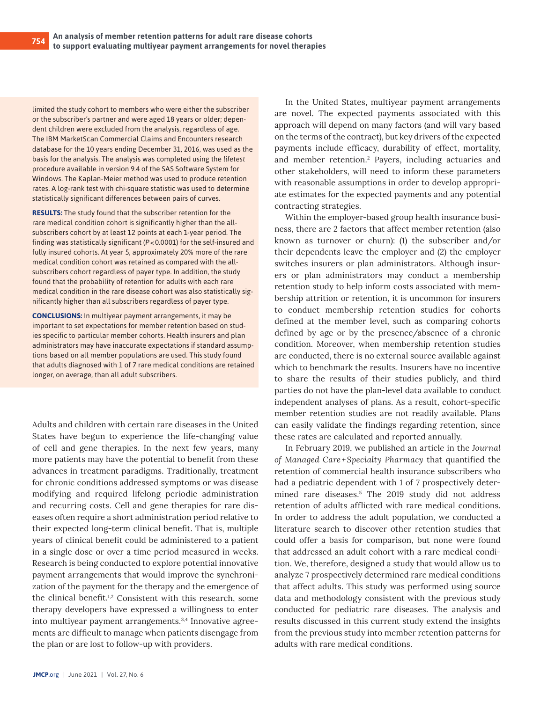limited the study cohort to members who were either the subscriber or the subscriber's partner and were aged 18 years or older; dependent children were excluded from the analysis, regardless of age. The IBM MarketScan Commercial Claims and Encounters research database for the 10 years ending December 31, 2016, was used as the basis for the analysis. The analysis was completed using the *lifetest* procedure available in version 9.4 of the SAS Software System for Windows. The Kaplan-Meier method was used to produce retention rates. A log-rank test with chi-square statistic was used to determine statistically significant differences between pairs of curves.

**RESULTS:** The study found that the subscriber retention for the rare medical condition cohort is significantly higher than the allsubscribers cohort by at least 12 points at each 1-year period. The finding was statistically significant (*P*<0.0001) for the self-insured and fully insured cohorts. At year 5, approximately 20% more of the rare medical condition cohort was retained as compared with the allsubscribers cohort regardless of payer type. In addition, the study found that the probability of retention for adults with each rare medical condition in the rare disease cohort was also statistically significantly higher than all subscribers regardless of payer type.

**CONCLUSIONS:** In multiyear payment arrangements, it may be important to set expectations for member retention based on studies specific to particular member cohorts. Health insurers and plan administrators may have inaccurate expectations if standard assumptions based on all member populations are used. This study found that adults diagnosed with 1 of 7 rare medical conditions are retained longer, on average, than all adult subscribers.

Adults and children with certain rare diseases in the United States have begun to experience the life-changing value of cell and gene therapies. In the next few years, many more patients may have the potential to benefit from these advances in treatment paradigms. Traditionally, treatment for chronic conditions addressed symptoms or was disease modifying and required lifelong periodic administration and recurring costs. Cell and gene therapies for rare diseases often require a short administration period relative to their expected long-term clinical benefit. That is, multiple years of clinical benefit could be administered to a patient in a single dose or over a time period measured in weeks. Research is being conducted to explore potential innovative payment arrangements that would improve the synchronization of the payment for the therapy and the emergence of the clinical benefit.<sup>1,2</sup> Consistent with this research, some therapy developers have expressed a willingness to enter into multiyear payment arrangements.<sup>3,4</sup> Innovative agreements are difficult to manage when patients disengage from the plan or are lost to follow-up with providers.

In the United States, multiyear payment arrangements are novel. The expected payments associated with this approach will depend on many factors (and will vary based on the terms of the contract), but key drivers of the expected payments include efficacy, durability of effect, mortality, and member retention.2 Payers, including actuaries and other stakeholders, will need to inform these parameters with reasonable assumptions in order to develop appropriate estimates for the expected payments and any potential contracting strategies.

Within the employer-based group health insurance business, there are 2 factors that affect member retention (also known as turnover or churn): (1) the subscriber and/or their dependents leave the employer and (2) the employer switches insurers or plan administrators. Although insurers or plan administrators may conduct a membership retention study to help inform costs associated with membership attrition or retention, it is uncommon for insurers to conduct membership retention studies for cohorts defined at the member level, such as comparing cohorts defined by age or by the presence/absence of a chronic condition. Moreover, when membership retention studies are conducted, there is no external source available against which to benchmark the results. Insurers have no incentive to share the results of their studies publicly, and third parties do not have the plan-level data available to conduct independent analyses of plans. As a result, cohort-specific member retention studies are not readily available. Plans can easily validate the findings regarding retention, since these rates are calculated and reported annually.

In February 2019, we published an article in the *Journal of Managed Care+Specialty Pharmacy* that quantified the retention of commercial health insurance subscribers who had a pediatric dependent with 1 of 7 prospectively determined rare diseases.5 The 2019 study did not address retention of adults afflicted with rare medical conditions. In order to address the adult population, we conducted a literature search to discover other retention studies that could offer a basis for comparison, but none were found that addressed an adult cohort with a rare medical condition. We, therefore, designed a study that would allow us to analyze 7 prospectively determined rare medical conditions that affect adults. This study was performed using source data and methodology consistent with the previous study conducted for pediatric rare diseases. The analysis and results discussed in this current study extend the insights from the previous study into member retention patterns for adults with rare medical conditions.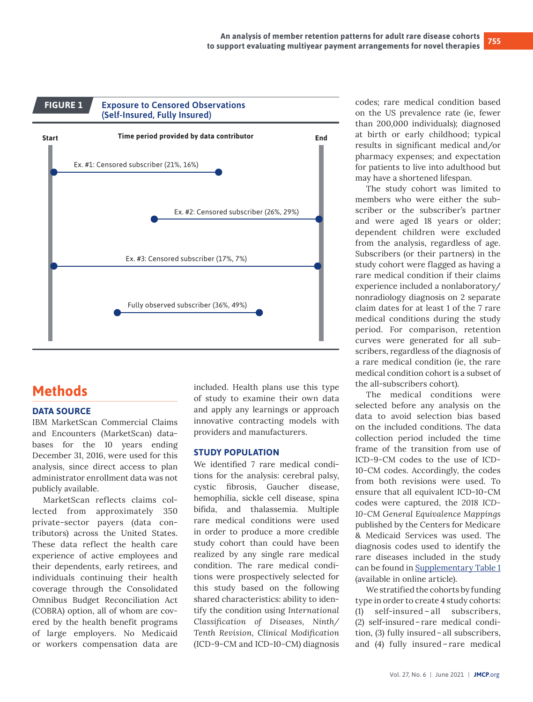

# **Methods**

#### **DATA SOURCE**

IBM MarketScan Commercial Claims and Encounters (MarketScan) databases for the 10 years ending December 31, 2016, were used for this analysis, since direct access to plan administrator enrollment data was not publicly available.

MarketScan reflects claims collected from approximately 350 private-sector payers (data contributors) across the United States. These data reflect the health care experience of active employees and their dependents, early retirees, and individuals continuing their health coverage through the Consolidated Omnibus Budget Reconciliation Act (COBRA) option, all of whom are covered by the health benefit programs of large employers. No Medicaid or workers compensation data are

included. Health plans use this type of study to examine their own data and apply any learnings or approach innovative contracting models with providers and manufacturers.

#### **STUDY POPULATION**

We identified 7 rare medical conditions for the analysis: cerebral palsy, cystic fibrosis, Gaucher disease, hemophilia, sickle cell disease, spina bifida, and thalassemia. Multiple rare medical conditions were used in order to produce a more credible study cohort than could have been realized by any single rare medical condition. The rare medical conditions were prospectively selected for this study based on the following shared characteristics: ability to identify the condition using *International Classification of Diseases, Ninth/ Tenth Revision, Clinical Modification* (ICD-9-CM and ICD-10-CM) diagnosis codes; rare medical condition based on the US prevalence rate (ie, fewer than 200,000 individuals); diagnosed at birth or early childhood; typical results in significant medical and/or pharmacy expenses; and expectation for patients to live into adulthood but may have a shortened lifespan.

The study cohort was limited to members who were either the subscriber or the subscriber's partner and were aged 18 years or older; dependent children were excluded from the analysis, regardless of age. Subscribers (or their partners) in the study cohort were flagged as having a rare medical condition if their claims experience included a nonlaboratory/ nonradiology diagnosis on 2 separate claim dates for at least 1 of the 7 rare medical conditions during the study period. For comparison, retention curves were generated for all subscribers, regardless of the diagnosis of a rare medical condition (ie, the rare medical condition cohort is a subset of the all-subscribers cohort).

The medical conditions were selected before any analysis on the data to avoid selection bias based on the included conditions. The data collection period included the time frame of the transition from use of ICD-9-CM codes to the use of ICD-10-CM codes. Accordingly, the codes from both revisions were used. To ensure that all equivalent ICD-10-CM codes were captured, the *2018 ICD-10-CM General Equivalence Mappings*  published by the Centers for Medicare & Medicaid Services was used. The diagnosis codes used to identify the rare diseases included in the study can be found in [Supplementary Table 1](https://www.jmcp.org/pb-assets/Supplmental%20Material/SupplementaryMaterials20309-1619618270.pdf) (available in online article).

We stratified the cohorts by funding type in order to create 4 study cohorts: (1) self-insured – all subscribers, (2) self-insured–rare medical condition, (3) fully insured–all subscribers, and (4) fully insured–rare medical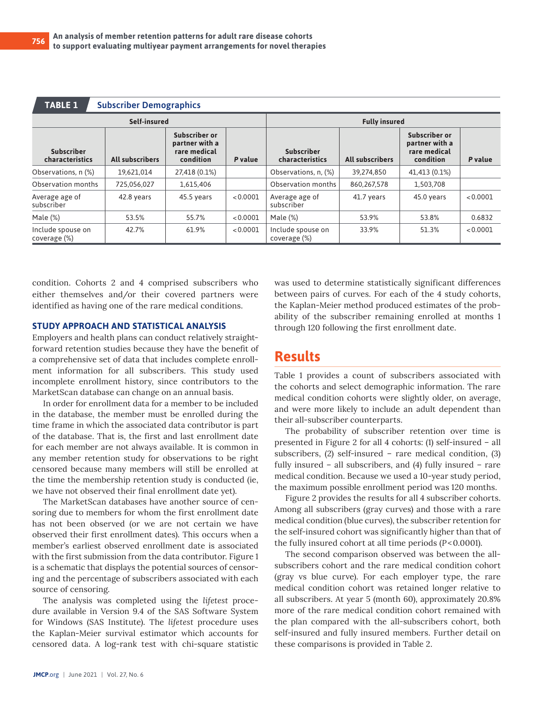| <b>TABLE 1</b><br><b>Subscriber Demographics</b> |                        |                                                              |          |                                      |                        |               |          |  |  |  |  |
|--------------------------------------------------|------------------------|--------------------------------------------------------------|----------|--------------------------------------|------------------------|---------------|----------|--|--|--|--|
| Self-insured                                     |                        |                                                              |          | <b>Fully insured</b>                 |                        |               |          |  |  |  |  |
| <b>Subscriber</b><br>characteristics             | <b>All subscribers</b> | Subscriber or<br>partner with a<br>rare medical<br>condition | P value  | <b>Subscriber</b><br>characteristics | <b>All subscribers</b> |               | P value  |  |  |  |  |
| Observations, n (%)                              | 19.621.014             | 27,418 (0.1%)                                                |          | Observations, n, (%)                 | 39,274,850             | 41,413 (0.1%) |          |  |  |  |  |
| Observation months                               | 725,056,027            | 1,615,406                                                    |          | Observation months                   | 860,267,578            | 1,503,708     |          |  |  |  |  |
| Average age of<br>subscriber                     | 42.8 years             | 45.5 years                                                   | < 0.0001 | Average age of<br>subscriber         | 41.7 years             | 45.0 years    | < 0.0001 |  |  |  |  |
| Male $(\%)$                                      | 53.5%                  | 55.7%                                                        | < 0.0001 | Male (%)                             | 53.9%                  | 53.8%         | 0.6832   |  |  |  |  |
| Include spouse on<br>coverage (%)                | 42.7%                  | 61.9%                                                        | < 0.0001 | Include spouse on<br>coverage (%)    | 33.9%                  | 51.3%         | < 0.0001 |  |  |  |  |

condition. Cohorts 2 and 4 comprised subscribers who either themselves and/or their covered partners were identified as having one of the rare medical conditions.

#### **STUDY APPROACH AND STATISTICAL ANALYSIS**

Employers and health plans can conduct relatively straightforward retention studies because they have the benefit of a comprehensive set of data that includes complete enrollment information for all subscribers. This study used incomplete enrollment history, since contributors to the MarketScan database can change on an annual basis.

In order for enrollment data for a member to be included in the database, the member must be enrolled during the time frame in which the associated data contributor is part of the database. That is, the first and last enrollment date for each member are not always available. It is common in any member retention study for observations to be right censored because many members will still be enrolled at the time the membership retention study is conducted (ie, we have not observed their final enrollment date yet).

The MarketScan databases have another source of censoring due to members for whom the first enrollment date has not been observed (or we are not certain we have observed their first enrollment dates). This occurs when a member's earliest observed enrollment date is associated with the first submission from the data contributor. Figure 1 is a schematic that displays the potential sources of censoring and the percentage of subscribers associated with each source of censoring.

The analysis was completed using the *lifetest* procedure available in Version 9.4 of the SAS Software System for Windows (SAS Institute). The *lifetest* procedure uses the Kaplan-Meier survival estimator which accounts for censored data. A log-rank test with chi-square statistic was used to determine statistically significant differences between pairs of curves. For each of the 4 study cohorts, the Kaplan-Meier method produced estimates of the probability of the subscriber remaining enrolled at months 1 through 120 following the first enrollment date.

## **Results**

Table 1 provides a count of subscribers associated with the cohorts and select demographic information. The rare medical condition cohorts were slightly older, on average, and were more likely to include an adult dependent than their all-subscriber counterparts.

The probability of subscriber retention over time is presented in Figure 2 for all 4 cohorts: (1) self-insured – all subscribers, (2) self-insured – rare medical condition, (3) fully insured – all subscribers, and (4) fully insured – rare medical condition. Because we used a 10-year study period, the maximum possible enrollment period was 120 months.

Figure 2 provides the results for all 4 subscriber cohorts. Among all subscribers (gray curves) and those with a rare medical condition (blue curves), the subscriber retention for the self-insured cohort was significantly higher than that of the fully insured cohort at all time periods (*P*<0.0001).

The second comparison observed was between the allsubscribers cohort and the rare medical condition cohort (gray vs blue curve). For each employer type, the rare medical condition cohort was retained longer relative to all subscribers. At year 5 (month 60), approximately 20.8% more of the rare medical condition cohort remained with the plan compared with the all-subscribers cohort, both self-insured and fully insured members. Further detail on these comparisons is provided in Table 2.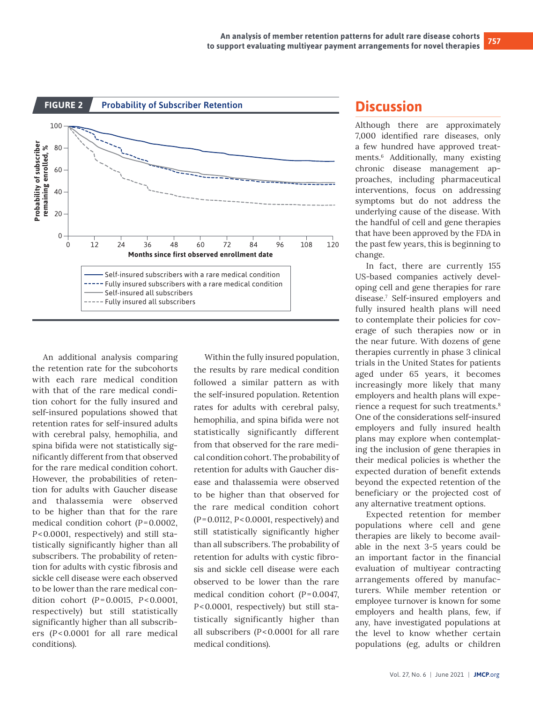

An additional analysis comparing the retention rate for the subcohorts with each rare medical condition with that of the rare medical condition cohort for the fully insured and self-insured populations showed that retention rates for self-insured adults with cerebral palsy, hemophilia, and spina bifida were not statistically significantly different from that observed for the rare medical condition cohort. However, the probabilities of retention for adults with Gaucher disease and thalassemia were observed to be higher than that for the rare medical condition cohort (*P*=0.0002, *P*<0.0001, respectively) and still statistically significantly higher than all subscribers. The probability of retention for adults with cystic fibrosis and sickle cell disease were each observed to be lower than the rare medical condition cohort (*P*=0.0015, *P*<0.0001, respectively) but still statistically significantly higher than all subscribers (*P*<0.0001 for all rare medical conditions).

Within the fully insured population, the results by rare medical condition followed a similar pattern as with the self-insured population. Retention rates for adults with cerebral palsy, hemophilia, and spina bifida were not statistically significantly different from that observed for the rare medical condition cohort. The probability of retention for adults with Gaucher disease and thalassemia were observed to be higher than that observed for the rare medical condition cohort (*P*=0.0112, *P*<0.0001, respectively) and still statistically significantly higher than all subscribers. The probability of retention for adults with cystic fibrosis and sickle cell disease were each observed to be lower than the rare medical condition cohort (*P*=0.0047, *P*<0.0001, respectively) but still statistically significantly higher than all subscribers (*P*<0.0001 for all rare medical conditions).

# **Discussion**

Although there are approximately 7,000 identified rare diseases, only a few hundred have approved treatments.6 Additionally, many existing chronic disease management approaches, including pharmaceutical interventions, focus on addressing symptoms but do not address the underlying cause of the disease. With the handful of cell and gene therapies that have been approved by the FDA in the past few years, this is beginning to change.

In fact, there are currently 155 US-based companies actively developing cell and gene therapies for rare disease.7 Self-insured employers and fully insured health plans will need to contemplate their policies for coverage of such therapies now or in the near future. With dozens of gene therapies currently in phase 3 clinical trials in the United States for patients aged under 65 years, it becomes increasingly more likely that many employers and health plans will experience a request for such treatments.<sup>8</sup> One of the considerations self-insured employers and fully insured health plans may explore when contemplating the inclusion of gene therapies in their medical policies is whether the expected duration of benefit extends beyond the expected retention of the beneficiary or the projected cost of any alternative treatment options.

Expected retention for member populations where cell and gene therapies are likely to become available in the next 3-5 years could be an important factor in the financial evaluation of multiyear contracting arrangements offered by manufacturers. While member retention or employee turnover is known for some employers and health plans, few, if any, have investigated populations at the level to know whether certain populations (eg, adults or children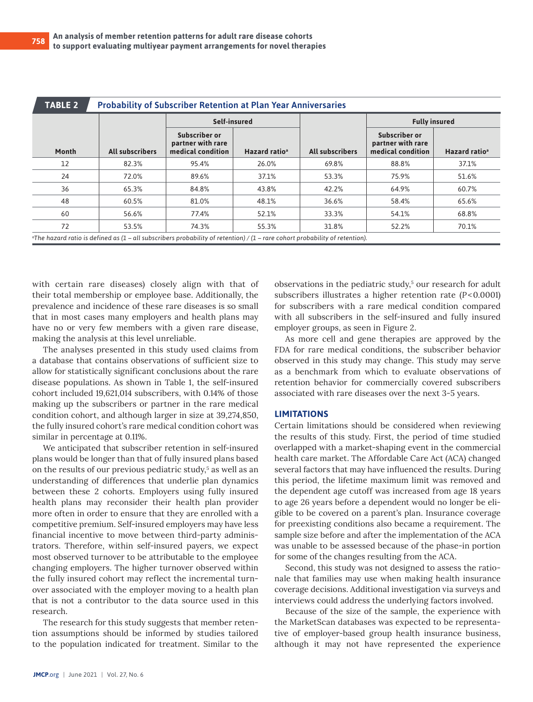| <b>TABLE 2</b>                                                                                                                       | <b>Probability of Subscriber Retention at Plan Year Anniversaries</b> |                                                         |                           |                        |                                                         |                           |  |  |  |  |  |
|--------------------------------------------------------------------------------------------------------------------------------------|-----------------------------------------------------------------------|---------------------------------------------------------|---------------------------|------------------------|---------------------------------------------------------|---------------------------|--|--|--|--|--|
|                                                                                                                                      |                                                                       | Self-insured                                            |                           |                        | <b>Fully insured</b>                                    |                           |  |  |  |  |  |
| Month                                                                                                                                | <b>All subscribers</b>                                                | Subscriber or<br>partner with rare<br>medical condition | Hazard ratio <sup>a</sup> | <b>All subscribers</b> | Subscriber or<br>partner with rare<br>medical condition | Hazard ratio <sup>a</sup> |  |  |  |  |  |
| 12                                                                                                                                   | 82.3%                                                                 | 95.4%                                                   | 26.0%                     | 69.8%                  | 88.8%                                                   | 37.1%                     |  |  |  |  |  |
| 24                                                                                                                                   | 72.0%                                                                 | 89.6%                                                   | 37.1%                     | 53.3%                  | 75.9%                                                   | 51.6%                     |  |  |  |  |  |
| 36                                                                                                                                   | 65.3%                                                                 | 84.8%                                                   | 43.8%                     | 42.2%                  | 64.9%                                                   | 60.7%                     |  |  |  |  |  |
| 48                                                                                                                                   | 60.5%                                                                 | 81.0%                                                   | 48.1%                     | 36.6%                  | 58.4%                                                   | 65.6%                     |  |  |  |  |  |
| 60                                                                                                                                   | 56.6%                                                                 | 77.4%                                                   | 52.1%                     | 33.3%                  | 54.1%                                                   | 68.8%                     |  |  |  |  |  |
| 72                                                                                                                                   | 53.5%                                                                 | 74.3%                                                   | 55.3%                     | 31.8%                  | 52.2%                                                   | 70.1%                     |  |  |  |  |  |
| $\alpha$ The hazard ratio is defined as (1 – all subscribers probability of retention) / (1 – rare cohort probability of retention). |                                                                       |                                                         |                           |                        |                                                         |                           |  |  |  |  |  |

with certain rare diseases) closely align with that of their total membership or employee base. Additionally, the prevalence and incidence of these rare diseases is so small that in most cases many employers and health plans may have no or very few members with a given rare disease, making the analysis at this level unreliable.

The analyses presented in this study used claims from a database that contains observations of sufficient size to allow for statistically significant conclusions about the rare disease populations. As shown in Table 1, the self-insured cohort included 19,621,014 subscribers, with 0.14% of those making up the subscribers or partner in the rare medical condition cohort, and although larger in size at 39,274,850, the fully insured cohort's rare medical condition cohort was similar in percentage at 0.11%.

We anticipated that subscriber retention in self-insured plans would be longer than that of fully insured plans based on the results of our previous pediatric study,<sup>5</sup> as well as an understanding of differences that underlie plan dynamics between these 2 cohorts. Employers using fully insured health plans may reconsider their health plan provider more often in order to ensure that they are enrolled with a competitive premium. Self-insured employers may have less financial incentive to move between third-party administrators. Therefore, within self-insured payers, we expect most observed turnover to be attributable to the employee changing employers. The higher turnover observed within the fully insured cohort may reflect the incremental turnover associated with the employer moving to a health plan that is not a contributor to the data source used in this research.

The research for this study suggests that member retention assumptions should be informed by studies tailored to the population indicated for treatment. Similar to the

observations in the pediatric study,<sup>5</sup> our research for adult subscribers illustrates a higher retention rate (*P*<0.0001) for subscribers with a rare medical condition compared with all subscribers in the self-insured and fully insured employer groups, as seen in Figure 2.

As more cell and gene therapies are approved by the FDA for rare medical conditions, the subscriber behavior observed in this study may change. This study may serve as a benchmark from which to evaluate observations of retention behavior for commercially covered subscribers associated with rare diseases over the next 3-5 years.

#### **LIMITATIONS**

Certain limitations should be considered when reviewing the results of this study. First, the period of time studied overlapped with a market-shaping event in the commercial health care market. The Affordable Care Act (ACA) changed several factors that may have influenced the results. During this period, the lifetime maximum limit was removed and the dependent age cutoff was increased from age 18 years to age 26 years before a dependent would no longer be eligible to be covered on a parent's plan. Insurance coverage for preexisting conditions also became a requirement. The sample size before and after the implementation of the ACA was unable to be assessed because of the phase-in portion for some of the changes resulting from the ACA.

Second, this study was not designed to assess the rationale that families may use when making health insurance coverage decisions. Additional investigation via surveys and interviews could address the underlying factors involved.

Because of the size of the sample, the experience with the MarketScan databases was expected to be representative of employer-based group health insurance business, although it may not have represented the experience